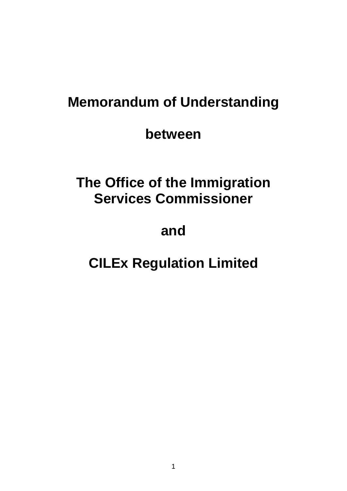# **Memorandum of Understanding**

**between**

# **The Office of the Immigration Services Commissioner**

# **and**

# **CILEx Regulation Limited**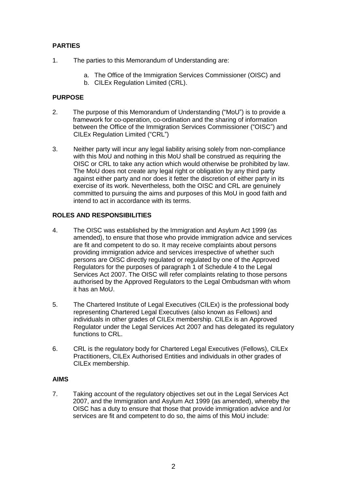## **PARTIES**

- 1. The parties to this Memorandum of Understanding are:
	- a. The Office of the Immigration Services Commissioner (OISC) and
	- b. CILEx Regulation Limited (CRL).

## **PURPOSE**

- 2. The purpose of this Memorandum of Understanding ("MoU") is to provide a framework for co-operation, co-ordination and the sharing of information between the Office of the Immigration Services Commissioner ("OISC") and CILEx Regulation Limited ("CRL")
- 3. Neither party will incur any legal liability arising solely from non-compliance with this MoU and nothing in this MoU shall be construed as requiring the OISC or CRL to take any action which would otherwise be prohibited by law. The MoU does not create any legal right or obligation by any third party against either party and nor does it fetter the discretion of either party in its exercise of its work. Nevertheless, both the OISC and CRL are genuinely committed to pursuing the aims and purposes of this MoU in good faith and intend to act in accordance with its terms.

## **ROLES AND RESPONSIBILITIES**

- 4. The OISC was established by the Immigration and Asylum Act 1999 (as amended), to ensure that those who provide immigration advice and services are fit and competent to do so. It may receive complaints about persons providing immigration advice and services irrespective of whether such persons are OISC directly regulated or regulated by one of the Approved Regulators for the purposes of paragraph 1 of Schedule 4 to the Legal Services Act 2007. The OISC will refer complaints relating to those persons authorised by the Approved Regulators to the Legal Ombudsman with whom it has an MoU.
- 5. The Chartered Institute of Legal Executives (CILEx) is the professional body representing Chartered Legal Executives (also known as Fellows) and individuals in other grades of CILEx membership. CILEx is an Approved Regulator under the Legal Services Act 2007 and has delegated its regulatory functions to CRL.
- 6. CRL is the regulatory body for Chartered Legal Executives (Fellows), CILEx Practitioners, CILEx Authorised Entities and individuals in other grades of CILEx membership.

#### **AIMS**

7. Taking account of the regulatory objectives set out in the Legal Services Act 2007, and the Immigration and Asylum Act 1999 (as amended), whereby the OISC has a duty to ensure that those that provide immigration advice and /or services are fit and competent to do so, the aims of this MoU include: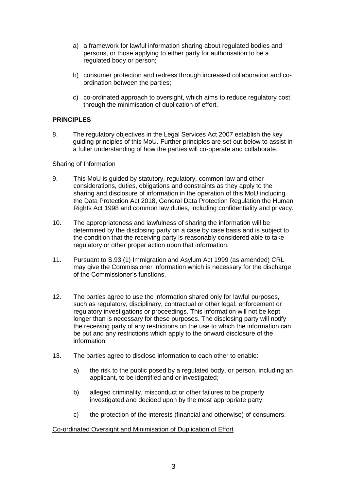- a) a framework for lawful information sharing about regulated bodies and persons, or those applying to either party for authorisation to be a regulated body or person;
- b) consumer protection and redress through increased collaboration and coordination between the parties;
- c) co-ordinated approach to oversight, which aims to reduce regulatory cost through the minimisation of duplication of effort.

## **PRINCIPLES**

8. The regulatory objectives in the Legal Services Act 2007 establish the key guiding principles of this MoU. Further principles are set out below to assist in a fuller understanding of how the parties will co-operate and collaborate.

#### Sharing of Information

- 9. This MoU is guided by statutory, regulatory, common law and other considerations, duties, obligations and constraints as they apply to the sharing and disclosure of information in the operation of this MoU including the Data Protection Act 2018, General Data Protection Regulation the Human Rights Act 1998 and common law duties, including confidentiality and privacy.
- 10. The appropriateness and lawfulness of sharing the information will be determined by the disclosing party on a case by case basis and is subject to the condition that the receiving party is reasonably considered able to take regulatory or other proper action upon that information.
- 11. Pursuant to S.93 (1) Immigration and Asylum Act 1999 (as amended) CRL may give the Commissioner information which is necessary for the discharge of the Commissioner's functions.
- 12. The parties agree to use the information shared only for lawful purposes, such as regulatory, disciplinary, contractual or other legal, enforcement or regulatory investigations or proceedings. This information will not be kept longer than is necessary for these purposes. The disclosing party will notify the receiving party of any restrictions on the use to which the information can be put and any restrictions which apply to the onward disclosure of the information.
- 13. The parties agree to disclose information to each other to enable:
	- a) the risk to the public posed by a regulated body, or person, including an applicant, to be identified and or investigated;
	- b) alleged criminality, misconduct or other failures to be properly investigated and decided upon by the most appropriate party;
	- c) the protection of the interests (financial and otherwise) of consumers.

#### Co-ordinated Oversight and Minimisation of Duplication of Effort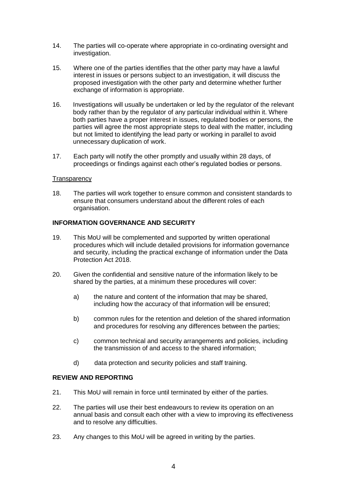- 14. The parties will co-operate where appropriate in co-ordinating oversight and investigation.
- 15. Where one of the parties identifies that the other party may have a lawful interest in issues or persons subject to an investigation, it will discuss the proposed investigation with the other party and determine whether further exchange of information is appropriate.
- 16. Investigations will usually be undertaken or led by the regulator of the relevant body rather than by the regulator of any particular individual within it. Where both parties have a proper interest in issues, regulated bodies or persons, the parties will agree the most appropriate steps to deal with the matter, including but not limited to identifying the lead party or working in parallel to avoid unnecessary duplication of work.
- 17. Each party will notify the other promptly and usually within 28 days, of proceedings or findings against each other's regulated bodies or persons.

#### **Transparency**

18. The parties will work together to ensure common and consistent standards to ensure that consumers understand about the different roles of each organisation.

#### **INFORMATION GOVERNANCE AND SECURITY**

- 19. This MoU will be complemented and supported by written operational procedures which will include detailed provisions for information governance and security, including the practical exchange of information under the Data Protection Act 2018.
- 20. Given the confidential and sensitive nature of the information likely to be shared by the parties, at a minimum these procedures will cover:
	- a) the nature and content of the information that may be shared, including how the accuracy of that information will be ensured;
	- b) common rules for the retention and deletion of the shared information and procedures for resolving any differences between the parties;
	- c) common technical and security arrangements and policies, including the transmission of and access to the shared information;
	- d) data protection and security policies and staff training.

#### **REVIEW AND REPORTING**

- 21. This MoU will remain in force until terminated by either of the parties.
- 22. The parties will use their best endeavours to review its operation on an annual basis and consult each other with a view to improving its effectiveness and to resolve any difficulties.
- 23. Any changes to this MoU will be agreed in writing by the parties.